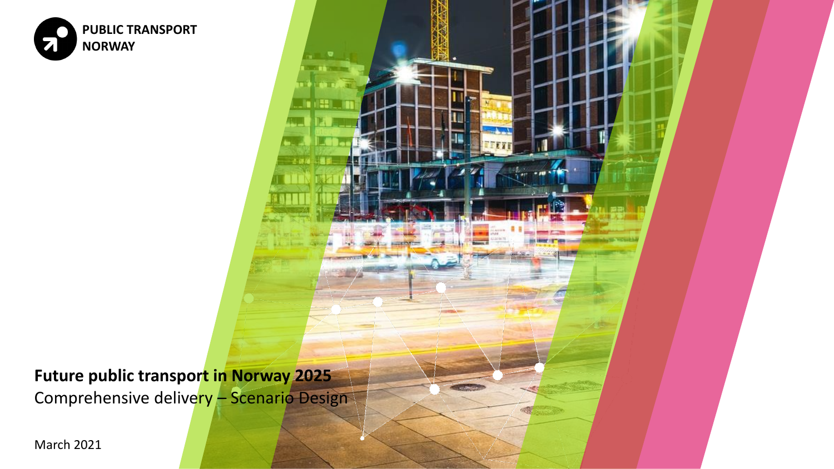

**Future public transport in Norway 2025** Comprehensive delivery - Scenario Design

March 2021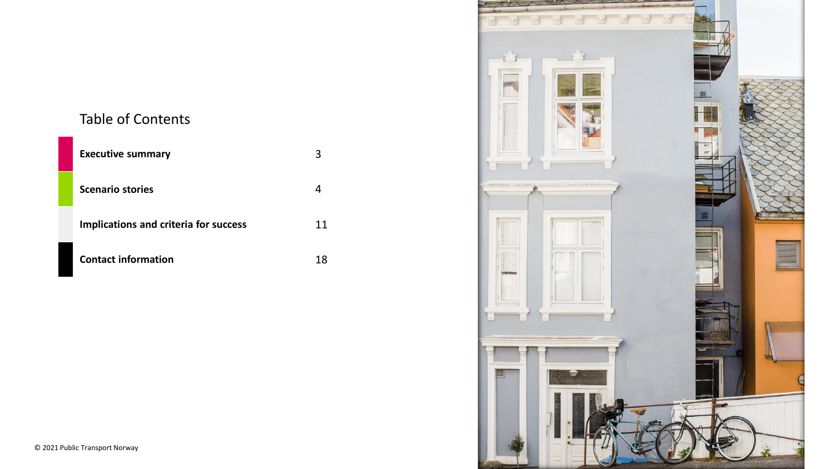### Table of Contents

| <b>Executive summary</b>                     |    |
|----------------------------------------------|----|
| <b>Scenario stories</b>                      |    |
| <b>Implications and criteria for success</b> | 11 |
| <b>Contact information</b>                   | 18 |

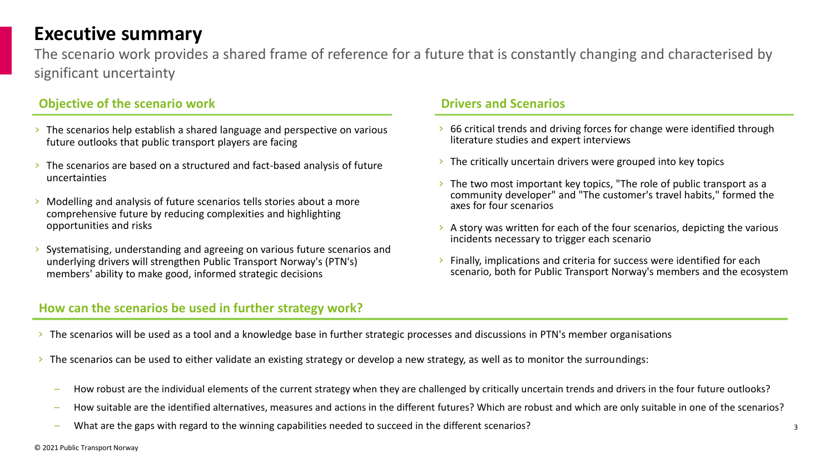### **Executive summary**

The scenario work provides a shared frame of reference for a future that is constantly changing and characterised by significant uncertainty

### **Objective of the scenario work Drivers and Scenarios Drivers and Scenarios**

- › The scenarios help establish a shared language and perspective on various future outlooks that public transport players are facing
- › The scenarios are based on a structured and fact-based analysis of future uncertainties
- $\geq$  Modelling and analysis of future scenarios tells stories about a more comprehensive future by reducing complexities and highlighting opportunities and risks
- › Systematising, understanding and agreeing on various future scenarios and underlying drivers will strengthen Public Transport Norway's (PTN's) members' ability to make good, informed strategic decisions

### **How can the scenarios be used in further strategy work?**

- › 66 critical trends and driving forces for change were identified through literature studies and expert interviews
- $\rightarrow$  The critically uncertain drivers were grouped into key topics
- $\geq$  The two most important key topics, "The role of public transport as a community developer" and "The customer's travel habits," formed the axes for four scenarios
- $\rightarrow$  A story was written for each of the four scenarios, depicting the various incidents necessary to trigger each scenario
- › Finally, implications and criteria for success were identified for each scenario, both for Public Transport Norway's members and the ecosystem

- > The scenarios will be used as a tool and a knowledge base in further strategic processes and discussions in PTN's member organisations
- $\geq$  The scenarios can be used to either validate an existing strategy or develop a new strategy, as well as to monitor the surroundings:
	- How robust are the individual elements of the current strategy when they are challenged by critically uncertain trends and drivers in the four future outlooks?
	- How suitable are the identified alternatives, measures and actions in the different futures? Which are robust and which are only suitable in one of the scenarios?
	- What are the gaps with regard to the winning capabilities needed to succeed in the different scenarios?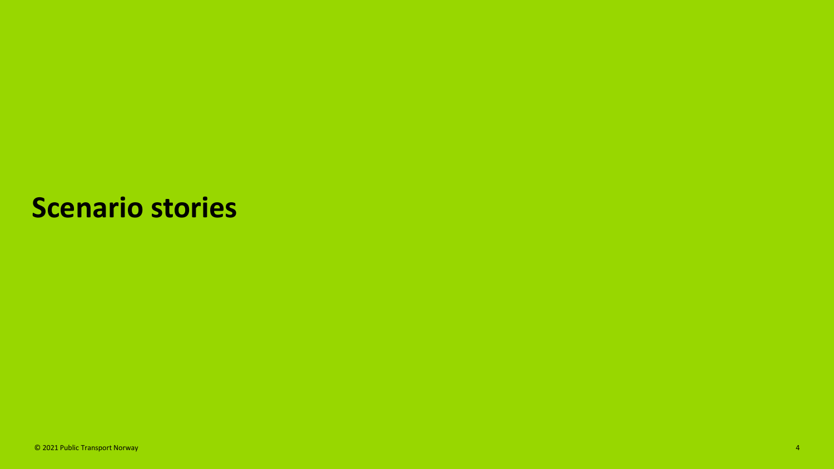## **Scenario stories**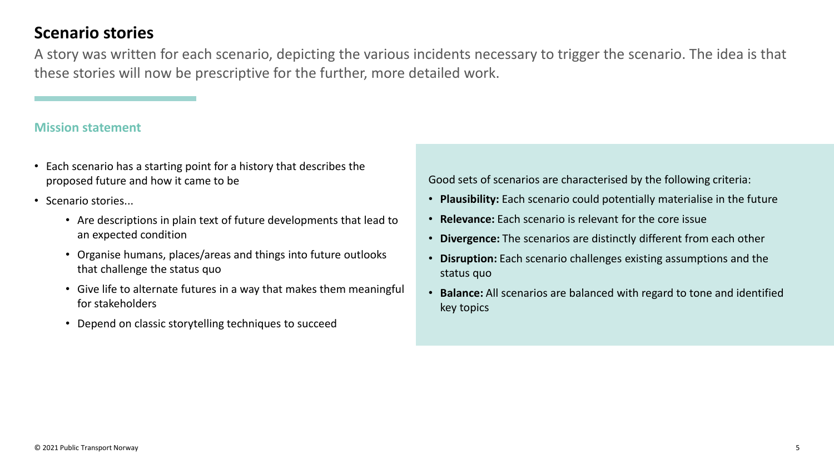### **Scenario stories**

A story was written for each scenario, depicting the various incidents necessary to trigger the scenario. The idea is that these stories will now be prescriptive for the further, more detailed work.

#### **Mission statement**

- Each scenario has a starting point for a history that describes the proposed future and how it came to be
- Scenario stories...
	- Are descriptions in plain text of future developments that lead to an expected condition
	- Organise humans, places/areas and things into future outlooks that challenge the status quo
	- Give life to alternate futures in a way that makes them meaningful for stakeholders
	- Depend on classic storytelling techniques to succeed

Good sets of scenarios are characterised by the following criteria:

- **Plausibility:** Each scenario could potentially materialise in the future
- **Relevance:** Each scenario is relevant for the core issue
- **Divergence:** The scenarios are distinctly different from each other
- **Disruption:** Each scenario challenges existing assumptions and the status quo
- **Balance:** All scenarios are balanced with regard to tone and identified key topics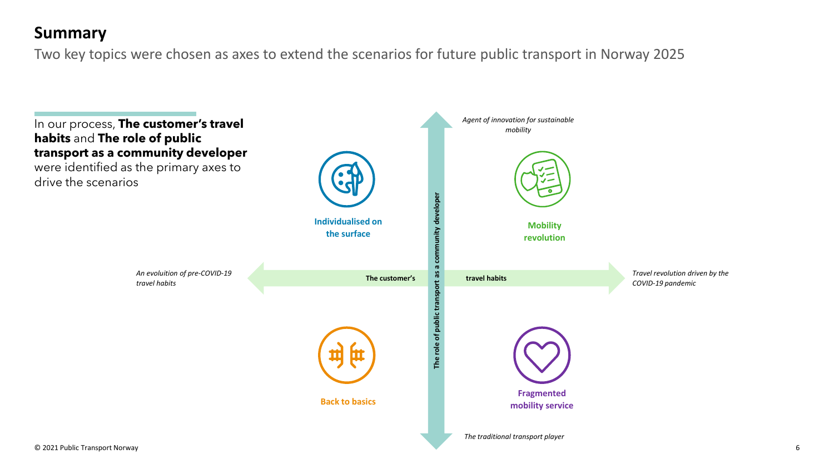## **Summary**

Two key topics were chosen as axes to extend the scenarios for future public transport in Norway 2025

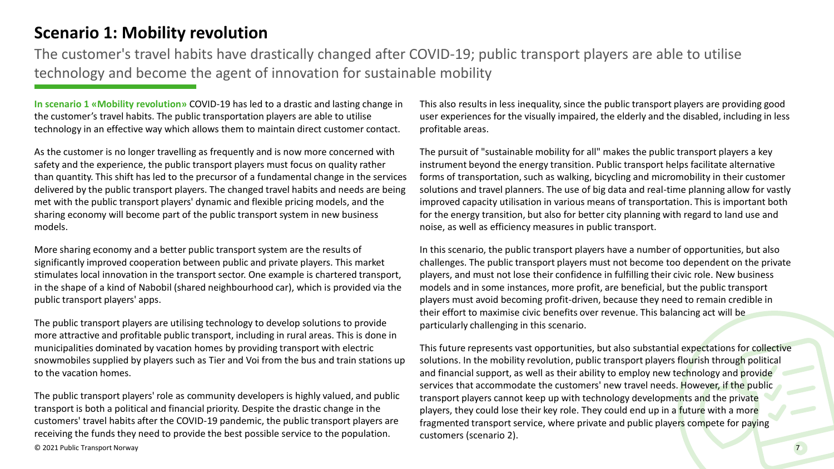### **Scenario 1: Mobility revolution**

The customer's travel habits have drastically changed after COVID-19; public transport players are able to utilise technology and become the agent of innovation for sustainable mobility

**In scenario 1 «Mobility revolution»** COVID-19 has led to a drastic and lasting change in the customer's travel habits. The public transportation players are able to utilise technology in an effective way which allows them to maintain direct customer contact.

As the customer is no longer travelling as frequently and is now more concerned with safety and the experience, the public transport players must focus on quality rather than quantity. This shift has led to the precursor of a fundamental change in the services delivered by the public transport players. The changed travel habits and needs are being met with the public transport players' dynamic and flexible pricing models, and the sharing economy will become part of the public transport system in new business models.

More sharing economy and a better public transport system are the results of significantly improved cooperation between public and private players. This market stimulates local innovation in the transport sector. One example is chartered transport, in the shape of a kind of Nabobil (shared neighbourhood car), which is provided via the public transport players' apps.

The public transport players are utilising technology to develop solutions to provide more attractive and profitable public transport, including in rural areas. This is done in municipalities dominated by vacation homes by providing transport with electric snowmobiles supplied by players such as Tier and Voi from the bus and train stations up to the vacation homes.

© 2021 Public Transport Norway The public transport players' role as community developers is highly valued, and public transport is both a political and financial priority. Despite the drastic change in the customers' travel habits after the COVID-19 pandemic, the public transport players are receiving the funds they need to provide the best possible service to the population.

This also results in less inequality, since the public transport players are providing good user experiences for the visually impaired, the elderly and the disabled, including in less profitable areas.

The pursuit of "sustainable mobility for all" makes the public transport players a key instrument beyond the energy transition. Public transport helps facilitate alternative forms of transportation, such as walking, bicycling and micromobility in their customer solutions and travel planners. The use of big data and real-time planning allow for vastly improved capacity utilisation in various means of transportation. This is important both for the energy transition, but also for better city planning with regard to land use and noise, as well as efficiency measures in public transport.

In this scenario, the public transport players have a number of opportunities, but also challenges. The public transport players must not become too dependent on the private players, and must not lose their confidence in fulfilling their civic role. New business models and in some instances, more profit, are beneficial, but the public transport players must avoid becoming profit-driven, because they need to remain credible in their effort to maximise civic benefits over revenue. This balancing act will be particularly challenging in this scenario.

This future represents vast opportunities, but also substantial expectations for collective solutions. In the mobility revolution, public transport players flourish through political and financial support, as well as their ability to employ new technology and provide services that accommodate the customers' new travel needs. However, if the public transport players cannot keep up with technology developments and the private players, they could lose their key role. They could end up in a future with a more fragmented transport service, where private and public players compete for paying customers (scenario 2).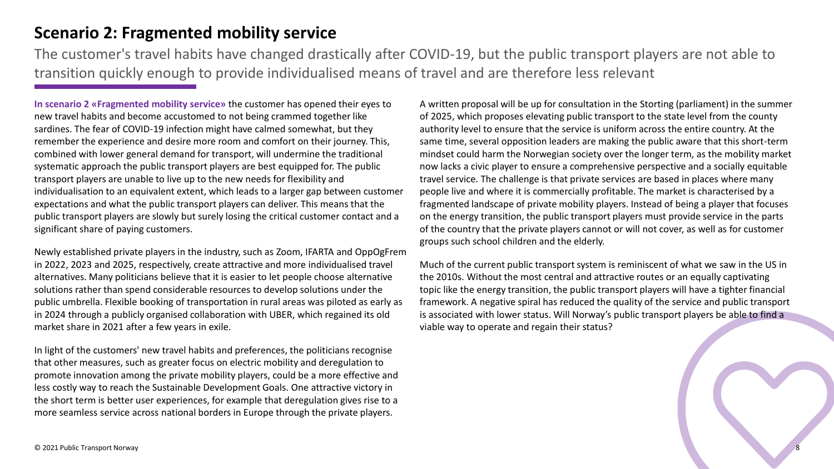### **Scenario 2: Fragmented mobility service**

The customer's travel habits have changed drastically after COVID-19, but the public transport players are not able to transition quickly enough to provide individualised means of travel and are therefore less relevant

**In scenario 2 «Fragmented mobility service»** the customer has opened their eyes to new travel habits and become accustomed to not being crammed together like sardines. The fear of COVID-19 infection might have calmed somewhat, but they remember the experience and desire more room and comfort on their journey. This, combined with lower general demand for transport, will undermine the traditional systematic approach the public transport players are best equipped for. The public transport players are unable to live up to the new needs for flexibility and individualisation to an equivalent extent, which leads to a larger gap between customer expectations and what the public transport players can deliver. This means that the public transport players are slowly but surely losing the critical customer contact and a significant share of paying customers.

Newly established private players in the industry, such as Zoom, IFARTA and OppOgFrem in 2022, 2023 and 2025, respectively, create attractive and more individualised travel alternatives. Many politicians believe that it is easier to let people choose alternative solutions rather than spend considerable resources to develop solutions under the public umbrella. Flexible booking of transportation in rural areas was piloted as early as in 2024 through a publicly organised collaboration with UBER, which regained its old market share in 2021 after a few years in exile.

In light of the customers' new travel habits and preferences, the politicians recognise that other measures, such as greater focus on electric mobility and deregulation to promote innovation among the private mobility players, could be a more effective and less costly way to reach the Sustainable Development Goals. One attractive victory in the short term is better user experiences, for example that deregulation gives rise to a more seamless service across national borders in Europe through the private players.

A written proposal will be up for consultation in the Storting (parliament) in the summer of 2025, which proposes elevating public transport to the state level from the county authority level to ensure that the service is uniform across the entire country. At the same time, several opposition leaders are making the public aware that this short-term mindset could harm the Norwegian society over the longer term, as the mobility market now lacks a civic player to ensure a comprehensive perspective and a socially equitable travel service. The challenge is that private services are based in places where many people live and where it is commercially profitable. The market is characterised by a fragmented landscape of private mobility players. Instead of being a player that focuses on the energy transition, the public transport players must provide service in the parts of the country that the private players cannot or will not cover, as well as for customer groups such school children and the elderly.

Much of the current public transport system is reminiscent of what we saw in the US in the 2010s. Without the most central and attractive routes or an equally captivating topic like the energy transition, the public transport players will have a tighter financial framework. A negative spiral has reduced the quality of the service and public transport is associated with lower status. Will Norway's public transport players be able to find a viable way to operate and regain their status?

8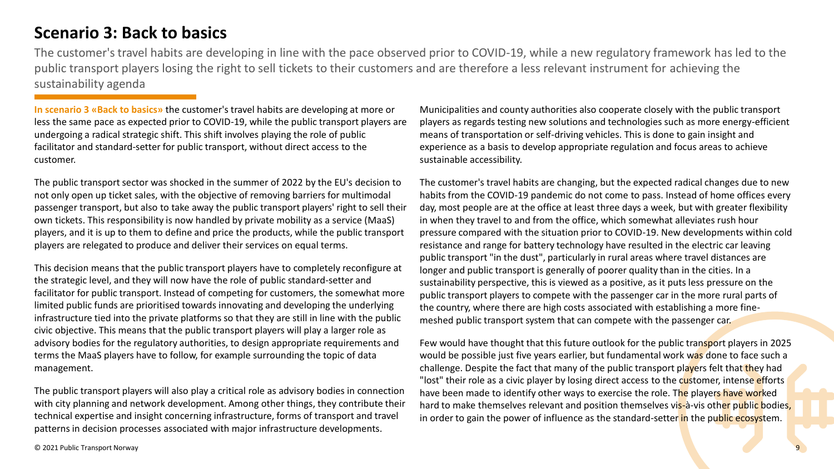### **Scenario 3: Back to basics**

The customer's travel habits are developing in line with the pace observed prior to COVID-19, while a new regulatory framework has led to the public transport players losing the right to sell tickets to their customers and are therefore a less relevant instrument for achieving the sustainability agenda

**In scenario 3 «Back to basics»** the customer's travel habits are developing at more or less the same pace as expected prior to COVID-19, while the public transport players are undergoing a radical strategic shift. This shift involves playing the role of public facilitator and standard-setter for public transport, without direct access to the customer.

The public transport sector was shocked in the summer of 2022 by the EU's decision to not only open up ticket sales, with the objective of removing barriers for multimodal passenger transport, but also to take away the public transport players' right to sell their own tickets. This responsibility is now handled by private mobility as a service (MaaS) players, and it is up to them to define and price the products, while the public transport players are relegated to produce and deliver their services on equal terms.

This decision means that the public transport players have to completely reconfigure at the strategic level, and they will now have the role of public standard-setter and facilitator for public transport. Instead of competing for customers, the somewhat more limited public funds are prioritised towards innovating and developing the underlying infrastructure tied into the private platforms so that they are still in line with the public civic objective. This means that the public transport players will play a larger role as advisory bodies for the regulatory authorities, to design appropriate requirements and terms the MaaS players have to follow, for example surrounding the topic of data management.

The public transport players will also play a critical role as advisory bodies in connection with city planning and network development. Among other things, they contribute their technical expertise and insight concerning infrastructure, forms of transport and travel patterns in decision processes associated with major infrastructure developments.

Municipalities and county authorities also cooperate closely with the public transport players as regards testing new solutions and technologies such as more energy-efficient means of transportation or self-driving vehicles. This is done to gain insight and experience as a basis to develop appropriate regulation and focus areas to achieve sustainable accessibility.

The customer's travel habits are changing, but the expected radical changes due to new habits from the COVID-19 pandemic do not come to pass. Instead of home offices every day, most people are at the office at least three days a week, but with greater flexibility in when they travel to and from the office, which somewhat alleviates rush hour pressure compared with the situation prior to COVID-19. New developments within cold resistance and range for battery technology have resulted in the electric car leaving public transport "in the dust", particularly in rural areas where travel distances are longer and public transport is generally of poorer quality than in the cities. In a sustainability perspective, this is viewed as a positive, as it puts less pressure on the public transport players to compete with the passenger car in the more rural parts of the country, where there are high costs associated with establishing a more finemeshed public transport system that can compete with the passenger car.

Few would have thought that this future outlook for the public transport players in 2025 would be possible just five years earlier, but fundamental work was done to face such a challenge. Despite the fact that many of the public transport players felt that they had "lost" their role as a civic player by losing direct access to the customer, intense efforts have been made to identify other ways to exercise the role. The players have worked hard to make themselves relevant and position themselves vis-à-vis other public bodies, in order to gain the power of influence as the standard-setter in the public ecosystem.

© 2021 Public Transport Norway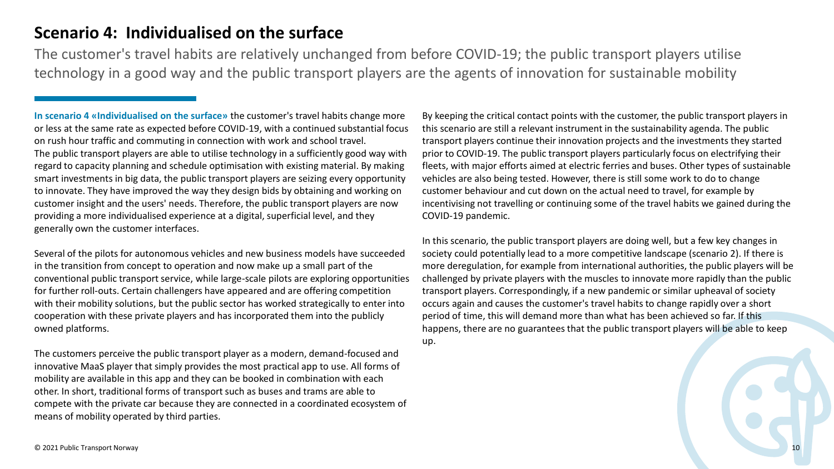### **Scenario 4: Individualised on the surface**

The customer's travel habits are relatively unchanged from before COVID-19; the public transport players utilise technology in a good way and the public transport players are the agents of innovation for sustainable mobility

**In scenario 4 «Individualised on the surface»** the customer's travel habits change more or less at the same rate as expected before COVID-19, with a continued substantial focus on rush hour traffic and commuting in connection with work and school travel.

The public transport players are able to utilise technology in a sufficiently good way with regard to capacity planning and schedule optimisation with existing material. By making smart investments in big data, the public transport players are seizing every opportunity to innovate. They have improved the way they design bids by obtaining and working on customer insight and the users' needs. Therefore, the public transport players are now providing a more individualised experience at a digital, superficial level, and they generally own the customer interfaces.

Several of the pilots for autonomous vehicles and new business models have succeeded in the transition from concept to operation and now make up a small part of the conventional public transport service, while large-scale pilots are exploring opportunities for further roll-outs. Certain challengers have appeared and are offering competition with their mobility solutions, but the public sector has worked strategically to enter into cooperation with these private players and has incorporated them into the publicly owned platforms.

The customers perceive the public transport player as a modern, demand-focused and innovative MaaS player that simply provides the most practical app to use. All forms of mobility are available in this app and they can be booked in combination with each other. In short, traditional forms of transport such as buses and trams are able to compete with the private car because they are connected in a coordinated ecosystem of means of mobility operated by third parties.

By keeping the critical contact points with the customer, the public transport players in this scenario are still a relevant instrument in the sustainability agenda. The public transport players continue their innovation projects and the investments they started prior to COVID-19. The public transport players particularly focus on electrifying their fleets, with major efforts aimed at electric ferries and buses. Other types of sustainable vehicles are also being tested. However, there is still some work to do to change customer behaviour and cut down on the actual need to travel, for example by incentivising not travelling or continuing some of the travel habits we gained during the COVID-19 pandemic.

In this scenario, the public transport players are doing well, but a few key changes in society could potentially lead to a more competitive landscape (scenario 2). If there is more deregulation, for example from international authorities, the public players will be challenged by private players with the muscles to innovate more rapidly than the public transport players. Correspondingly, if a new pandemic or similar upheaval of society occurs again and causes the customer's travel habits to change rapidly over a short period of time, this will demand more than what has been achieved so far. If this happens, there are no guarantees that the public transport players will be able to keep up.

10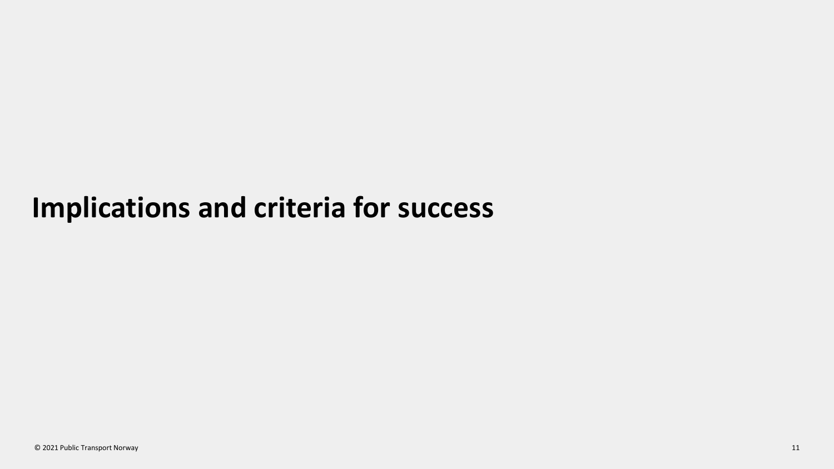## **Implications and criteria for success**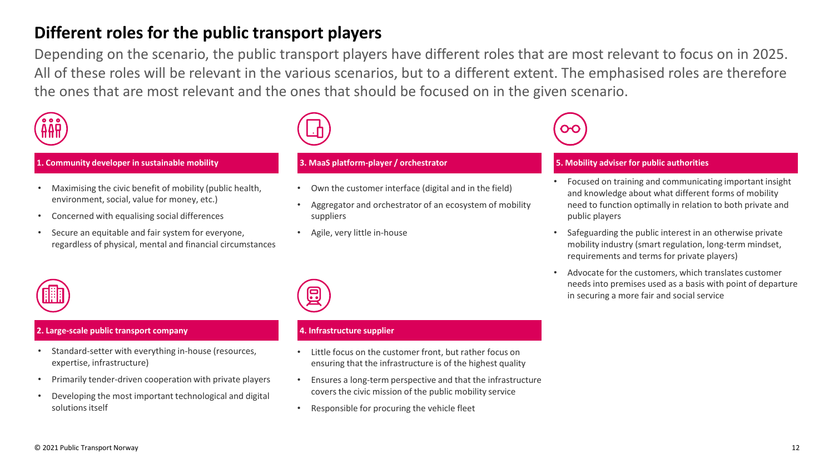### **Different roles for the public transport players**

Depending on the scenario, the public transport players have different roles that are most relevant to focus on in 2025. All of these roles will be relevant in the various scenarios, but to a different extent. The emphasised roles are therefore the ones that are most relevant and the ones that should be focused on in the given scenario.



#### **1. Community developer in sustainable mobility**

- Maximising the civic benefit of mobility (public health, environment, social, value for money, etc.)
- Concerned with equalising social differences
- Secure an equitable and fair system for everyone, regardless of physical, mental and financial circumstances



#### **3. MaaS platform-player / orchestrator**

- Own the customer interface (digital and in the field)
- Aggregator and orchestrator of an ecosystem of mobility suppliers
- Agile, very little in-house

### **5. Mobility adviser for public authorities**

- Focused on training and communicating important insight and knowledge about what different forms of mobility need to function optimally in relation to both private and public players
- Safeguarding the public interest in an otherwise private mobility industry (smart regulation, long-term mindset, requirements and terms for private players)
- Advocate for the customers, which translates customer needs into premises used as a basis with point of departure in securing a more fair and social service



#### **2. Large-scale public transport company**

- Standard-setter with everything in-house (resources, expertise, infrastructure)
- Primarily tender-driven cooperation with private players
- Developing the most important technological and digital solutions itself



#### **4. Infrastructure supplier**

- Little focus on the customer front, but rather focus on ensuring that the infrastructure is of the highest quality
- Ensures a long-term perspective and that the infrastructure covers the civic mission of the public mobility service
- Responsible for procuring the vehicle fleet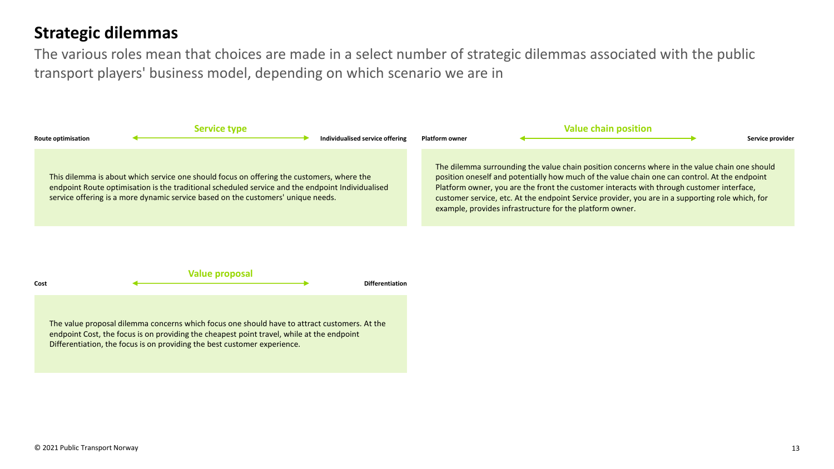### **Strategic dilemmas**

The various roles mean that choices are made in a select number of strategic dilemmas associated with the public transport players' business model, depending on which scenario we are in

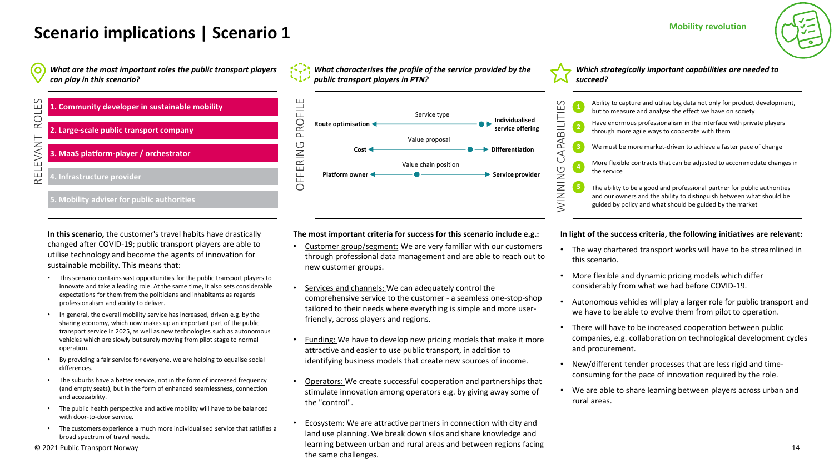#### **Mobility revolution**

## **Scenario implications | Scenario 1**

*What are the most important roles the public transport players can play in this scenario?*



**In this scenario,** the customer's travel habits have drastically changed after COVID-19; public transport players are able to utilise technology and become the agents of innovation for sustainable mobility. This means that:

- This scenario contains vast opportunities for the public transport players to innovate and take a leading role. At the same time, it also sets considerable expectations for them from the politicians and inhabitants as regards professionalism and ability to deliver.
- In general, the overall mobility service has increased, driven e.g. by the sharing economy, which now makes up an important part of the public transport service in 2025, as well as new technologies such as autonomous vehicles which are slowly but surely moving from pilot stage to normal operation.
- By providing a fair service for everyone, we are helping to equalise social differences.
- The suburbs have a better service, not in the form of increased frequency (and empty seats), but in the form of enhanced seamlessness, connection and accessibility.
- The public health perspective and active mobility will have to be balanced with door-to-door service.
- The customers experience a much more individualised service that satisfies a broad spectrum of travel needs.

© 2021 Public Transport Norway

*What characterises the profile of the service provided by the public transport players in PTN?*



**The most important criteria for success for this scenario include e.g.:**

- Customer group/segment: We are very familiar with our customers through professional data management and are able to reach out to new customer groups.
- Services and channels: We can adequately control the comprehensive service to the customer - a seamless one-stop-shop tailored to their needs where everything is simple and more userfriendly, across players and regions.
- Funding: We have to develop new pricing models that make it more attractive and easier to use public transport, in addition to identifying business models that create new sources of income.
- Operators: We create successful cooperation and partnerships that stimulate innovation among operators e.g. by giving away some of the "control".
- Ecosystem: We are attractive partners in connection with city and land use planning. We break down silos and share knowledge and learning between urban and rural areas and between regions facing the same challenges.

*Which strategically important capabilities are needed to succeed?*

|                 | $\mathbf{1}$   | Ability to capture and utilise big data not only for product development,<br>but to measure and analyse the effect we have on society                                                                        |
|-----------------|----------------|--------------------------------------------------------------------------------------------------------------------------------------------------------------------------------------------------------------|
| CAPABILITIES    | $\sqrt{2}$     | Have enormous professionalism in the interface with private players<br>through more agile ways to cooperate with them                                                                                        |
|                 | 3              | We must be more market-driven to achieve a faster pace of change                                                                                                                                             |
|                 | $\overline{4}$ | More flexible contracts that can be adjusted to accommodate changes in<br>the service                                                                                                                        |
| <b>PNINNING</b> |                | The ability to be a good and professional partner for public authorities<br>and our owners and the ability to distinguish between what should be<br>guided by policy and what should be guided by the market |

#### **In light of the success criteria, the following initiatives are relevant:**

- The way chartered transport works will have to be streamlined in this scenario.
- More flexible and dynamic pricing models which differ considerably from what we had before COVID-19.
- Autonomous vehicles will play a larger role for public transport and we have to be able to evolve them from pilot to operation.
- There will have to be increased cooperation between public companies, e.g. collaboration on technological development cycles and procurement.
- New/different tender processes that are less rigid and timeconsuming for the pace of innovation required by the role.
- We are able to share learning between players across urban and rural areas.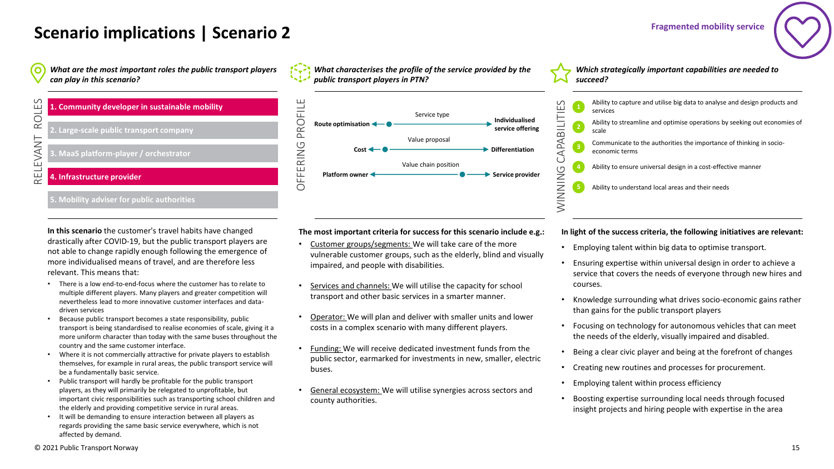#### **Fragmented mobility service**

### **Scenario implications | Scenario 2**

*What are the most important roles the public transport players*   $\mathbf{O}$ *can play in this scenario?*



#### **5. Mobility adviser for public authorities**

**In this scenario** the customer's travel habits have changed drastically after COVID-19, but the public transport players are not able to change rapidly enough following the emergence of more individualised means of travel, and are therefore less relevant. This means that:

- There is a low end-to-end-focus where the customer has to relate to multiple different players. Many players and greater competition will nevertheless lead to more innovative customer interfaces and datadriven services
- Because public transport becomes a state responsibility, public transport is being standardised to realise economies of scale, giving it a more uniform character than today with the same buses throughout the country and the same customer interface.
- Where it is not commercially attractive for private players to establish themselves, for example in rural areas, the public transport service will be a fundamentally basic service.
- Public transport will hardly be profitable for the public transport players, as they will primarily be relegated to unprofitable, but important civic responsibilities such as transporting school children and the elderly and providing competitive service in rural areas.
- It will be demanding to ensure interaction between all players as regards providing the same basic service everywhere, which is not affected by demand.





*Which strategically important capabilities are needed to succeed?*

|              | $\mathbf{1}$   | Ability to capture and utilise big data to analyse and design products and<br>services |
|--------------|----------------|----------------------------------------------------------------------------------------|
|              | $\mathbf{2}$   | Ability to streamline and optimise operations by seeking out economies of<br>scale     |
| CAPABILITIES | 3              | Communicate to the authorities the importance of thinking in socio-<br>economic terms  |
| G            | $\overline{a}$ | Ability to ensure universal design in a cost-effective manner                          |
| NINNIN       |                | Ability to understand local areas and their needs                                      |

**The most important criteria for success for this scenario include e.g.:**

- Customer groups/segments: We will take care of the more vulnerable customer groups, such as the elderly, blind and visually impaired, and people with disabilities.
- Services and channels: We will utilise the capacity for school transport and other basic services in a smarter manner.
- Operator: We will plan and deliver with smaller units and lower costs in a complex scenario with many different players.
- Funding: We will receive dedicated investment funds from the public sector, earmarked for investments in new, smaller, electric buses.
- General ecosystem: We will utilise synergies across sectors and county authorities.

#### **In light of the success criteria, the following initiatives are relevant:**

- Employing talent within big data to optimise transport.
- Ensuring expertise within universal design in order to achieve a service that covers the needs of everyone through new hires and courses.
- Knowledge surrounding what drives socio-economic gains rather than gains for the public transport players
- Focusing on technology for autonomous vehicles that can meet the needs of the elderly, visually impaired and disabled.
- Being a clear civic player and being at the forefront of changes
- Creating new routines and processes for procurement.
- Employing talent within process efficiency
- Boosting expertise surrounding local needs through focused insight projects and hiring people with expertise in the area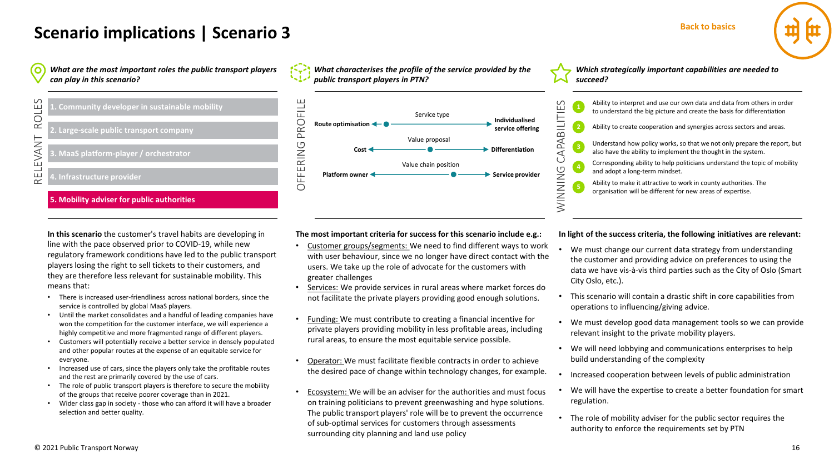## **Scenario implications | Scenario 3**

*What are the most important roles the public transport players*   $\mathbf{o}$ *can play in this scenario?*



#### **5. Mobility adviser for public authorities**

**In this scenario** the customer's travel habits are developing in line with the pace observed prior to COVID-19, while new regulatory framework conditions have led to the public transport players losing the right to sell tickets to their customers, and they are therefore less relevant for sustainable mobility. This means that:

- There is increased user-friendliness across national borders, since the service is controlled by global MaaS players.
- Until the market consolidates and a handful of leading companies have won the competition for the customer interface, we will experience a highly competitive and more fragmented range of different players.
- Customers will potentially receive a better service in densely populated and other popular routes at the expense of an equitable service for everyone.
- Increased use of cars, since the players only take the profitable routes and the rest are primarily covered by the use of cars.
- The role of public transport players is therefore to secure the mobility of the groups that receive poorer coverage than in 2021.
- Wider class gap in society those who can afford it will have a broader selection and better quality.





*Which strategically important capabilities are needed to succeed?*



**The most important criteria for success for this scenario include e.g.:**

- Customer groups/segments: We need to find different ways to work with user behaviour, since we no longer have direct contact with the users. We take up the role of advocate for the customers with greater challenges
- Services: We provide services in rural areas where market forces do not facilitate the private players providing good enough solutions.
- Funding: We must contribute to creating a financial incentive for private players providing mobility in less profitable areas, including rural areas, to ensure the most equitable service possible.
- Operator: We must facilitate flexible contracts in order to achieve the desired pace of change within technology changes, for example.
- Ecosystem: We will be an adviser for the authorities and must focus on training politicians to prevent greenwashing and hype solutions. The public transport players' role will be to prevent the occurrence of sub-optimal services for customers through assessments surrounding city planning and land use policy

**In light of the success criteria, the following initiatives are relevant:**

- We must change our current data strategy from understanding the customer and providing advice on preferences to using the data we have vis-à-vis third parties such as the City of Oslo (Smart City Oslo, etc.).
- This scenario will contain a drastic shift in core capabilities from operations to influencing/giving advice.
- We must develop good data management tools so we can provide relevant insight to the private mobility players.
- We will need lobbying and communications enterprises to help build understanding of the complexity
- Increased cooperation between levels of public administration
- We will have the expertise to create a better foundation for smart regulation.
- The role of mobility adviser for the public sector requires the authority to enforce the requirements set by PTN

**Back to basics**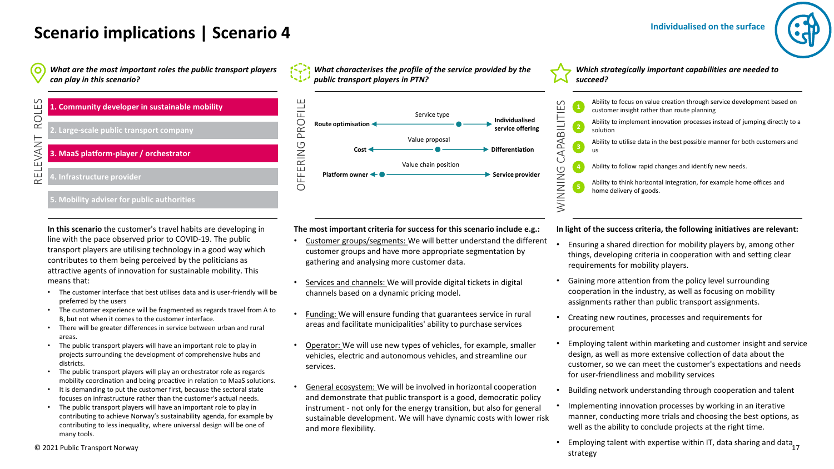#### **Individualised on the surface**

### **Scenario implications | Scenario 4**

*What are the most important roles the public transport players*   $\mathbf{o}$ *can play in this scenario?*

**1. Community developer in sustainable mobility 2. Large-scale public transport company 3. MaaS platform-player / orchestrator 4. Infrastructure provider**

#### **5. Mobility adviser for public authorities**

**In this scenario** the customer's travel habits are developing in line with the pace observed prior to COVID-19. The public transport players are utilising technology in a good way which contributes to them being perceived by the politicians as attractive agents of innovation for sustainable mobility. This means that:

- The customer interface that best utilises data and is user-friendly will be preferred by the users
- The customer experience will be fragmented as regards travel from A to B, but not when it comes to the customer interface.
- There will be greater differences in service between urban and rural areas.
- The public transport players will have an important role to play in projects surrounding the development of comprehensive hubs and districts.
- The public transport players will play an orchestrator role as regards mobility coordination and being proactive in relation to MaaS solutions.
- It is demanding to put the customer first, because the sectoral state focuses on infrastructure rather than the customer's actual needs.
- The public transport players will have an important role to play in contributing to achieve Norway's sustainability agenda, for example by contributing to less inequality, where universal design will be one of many tools.

*What characterises the profile of the service provided by the public transport players in PTN?*



**The most important criteria for success for this scenario include e.g.:**

- Customer groups/segments: We will better understand the different customer groups and have more appropriate segmentation by gathering and analysing more customer data.
- Services and channels: We will provide digital tickets in digital channels based on a dynamic pricing model.
- Funding: We will ensure funding that guarantees service in rural areas and facilitate municipalities' ability to purchase services
- Operator: We will use new types of vehicles, for example, smaller vehicles, electric and autonomous vehicles, and streamline our services.
- General ecosystem: We will be involved in horizontal cooperation and demonstrate that public transport is a good, democratic policy instrument - not only for the energy transition, but also for general sustainable development. We will have dynamic costs with lower risk and more flexibility.

*Which strategically important capabilities are needed to succeed?*



**In light of the success criteria, the following initiatives are relevant:**

- Ensuring a shared direction for mobility players by, among other things, developing criteria in cooperation with and setting clear requirements for mobility players.
- Gaining more attention from the policy level surrounding cooperation in the industry, as well as focusing on mobility assignments rather than public transport assignments.
- Creating new routines, processes and requirements for procurement
- Employing talent within marketing and customer insight and service design, as well as more extensive collection of data about the customer, so we can meet the customer's expectations and needs for user-friendliness and mobility services
- Building network understanding through cooperation and talent
- Implementing innovation processes by working in an iterative manner, conducting more trials and choosing the best options, as well as the ability to conclude projects at the right time.
- Employing talent with expertise within IT, data sharing and data  $17$ strategy

© 2021 Public Transport Norway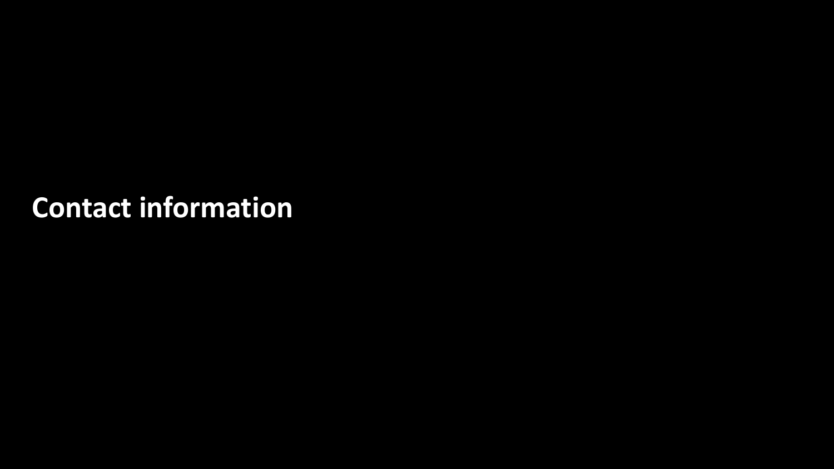# **Contact information**